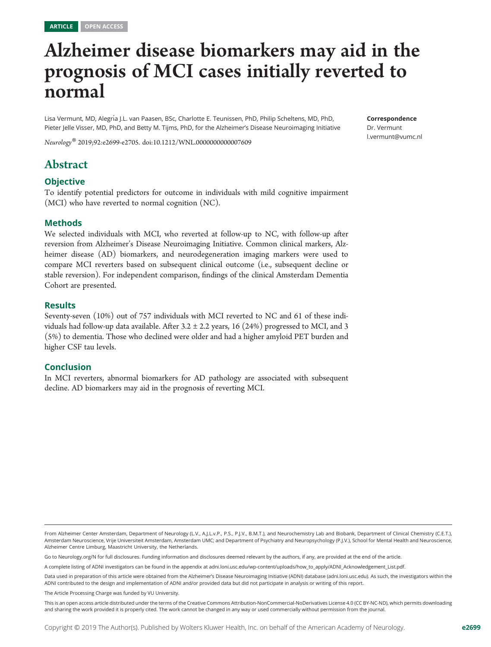# Alzheimer disease biomarkers may aid in the prognosis of MCI cases initially reverted to normal

Lisa Vermunt, MD, Alegría J.L. van Paasen, BSc, Charlotte E. Teunissen, PhD, Philip Scheltens, MD, PhD, Pieter Jelle Visser, MD, PhD, and Betty M. Tijms, PhD, for the Alzheimer's Disease Neuroimaging Initiative

Neurology® 2019;92:e2699-e2705. doi[:10.1212/WNL.0000000000007609](http://dx.doi.org/10.1212/WNL.0000000000007609)

## Abstract

#### **Objective**

To identify potential predictors for outcome in individuals with mild cognitive impairment (MCI) who have reverted to normal cognition (NC).

#### Methods

We selected individuals with MCI, who reverted at follow-up to NC, with follow-up after reversion from Alzheimer's Disease Neuroimaging Initiative. Common clinical markers, Alzheimer disease (AD) biomarkers, and neurodegeneration imaging markers were used to compare MCI reverters based on subsequent clinical outcome (i.e., subsequent decline or stable reversion). For independent comparison, findings of the clinical Amsterdam Dementia Cohort are presented.

#### Results

Seventy-seven (10%) out of 757 individuals with MCI reverted to NC and 61 of these individuals had follow-up data available. After 3.2  $\pm$  2.2 years, 16 (24%) progressed to MCI, and 3 (5%) to dementia. Those who declined were older and had a higher amyloid PET burden and higher CSF tau levels.

#### Conclusion

In MCI reverters, abnormal biomarkers for AD pathology are associated with subsequent decline. AD biomarkers may aid in the prognosis of reverting MCI.

From Alzheimer Center Amsterdam, Department of Neurology (L.V., A.J.L.v.P., P.S., P.J.V., B.M.T.), and Neurochemistry Lab and Biobank, Department of Clinical Chemistry (C.E.T.), Amsterdam Neuroscience, Vrije Universiteit Amsterdam, Amsterdam UMC; and Department of Psychiatry and Neuropsychology (P.J.V.), School for Mental Health and Neuroscience, Alzheimer Centre Limburg, Maastricht University, the Netherlands.

Go to [Neurology.org/N](http://n.neurology.org/lookup/doi/10.1212/WNL.0000000000007609) for full disclosures. Funding information and disclosures deemed relevant by the authors, if any, are provided at the end of the article.

A complete listing of ADNI investigators can be found in the appendix at [adni.loni.usc.edu/wp-content/uploads/how\\_to\\_apply/ADNI\\_Acknowledgement\\_List.pdf](http://adni.loni.usc.edu/wp-content/uploads/how_to_apply/ADNI_Acknowledgement_List.pdf).

Data used in preparation of this article were obtained from the Alzheimer's Disease Neuroimaging Initiative (ADNI) database [\(adni.loni.usc.edu\)](http://adni.loni.usc.edu). As such, the investigators within the ADNI contributed to the design and implementation of ADNI and/or provided data but did not participate in analysis or writing of this report.

The Article Processing Charge was funded by VU University.

This is an open access article distributed under the terms of the [Creative Commons Attribution-NonCommercial-NoDerivatives License 4.0 \(CC BY-NC-ND\),](http://creativecommons.org/licenses/by-nc-nd/4.0/) which permits downloading and sharing the work provided it is properly cited. The work cannot be changed in any way or used commercially without permission from the journal.

Correspondence Dr. Vermunt [l.vermunt@vumc.nl](mailto:l.vermunt@vumc.nl)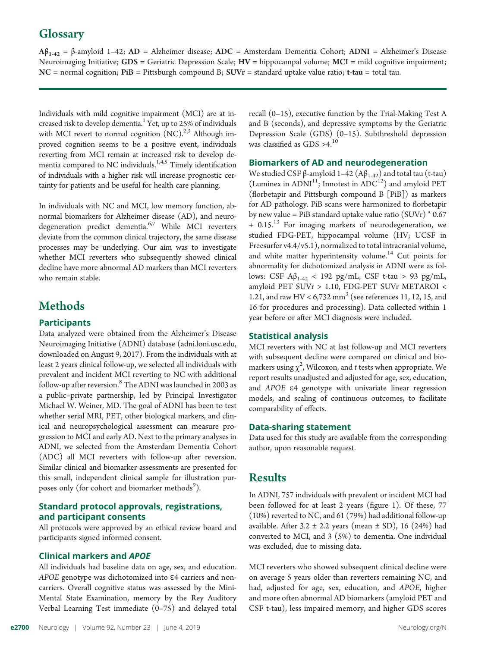# **Glossary**

 $Aβ<sub>1-42</sub> = β-amyloid 1-42; AD = Alzheimer disease; ADC = Amsterdam Dementia Cohort; ADNI = Alzheimer's Disease$ Neuroimaging Initiative; GDS = Geriatric Depression Scale;  $HV =$  hippocampal volume;  $MCI =$  mild cognitive impairment;  $NC =$  normal cognition;  $PiB =$  Pittsburgh compound B;  $SUVr =$  standard uptake value ratio; t-tau = total tau.

Individuals with mild cognitive impairment (MCI) are at increased risk to develop dementia.<sup>1</sup> Yet, up to 25% of individuals with MCI revert to normal cognition  $(NC)^{2,3}$  Although improved cognition seems to be a positive event, individuals reverting from MCI remain at increased risk to develop dementia compared to NC individuals.<sup>1,4,5</sup> Timely identification of individuals with a higher risk will increase prognostic certainty for patients and be useful for health care planning.

In individuals with NC and MCI, low memory function, abnormal biomarkers for Alzheimer disease (AD), and neurodegeneration predict dementia.<sup>6,7</sup> While MCI reverters deviate from the common clinical trajectory, the same disease processes may be underlying. Our aim was to investigate whether MCI reverters who subsequently showed clinical decline have more abnormal AD markers than MCI reverters who remain stable.

# Methods

### **Participants**

Data analyzed were obtained from the Alzheimer's Disease Neuroimaging Initiative (ADNI) database ([adni.loni.usc.edu](http://adni.loni.usc.edu), downloaded on August 9, 2017). From the individuals with at least 2 years clinical follow-up, we selected all individuals with prevalent and incident MCI reverting to NC with additional follow-up after reversion.<sup>8</sup> The ADNI was launched in 2003 as a public–private partnership, led by Principal Investigator Michael W. Weiner, MD. The goal of ADNI has been to test whether serial MRI, PET, other biological markers, and clinical and neuropsychological assessment can measure progression to MCI and early AD. Next to the primary analyses in ADNI, we selected from the Amsterdam Dementia Cohort (ADC) all MCI reverters with follow-up after reversion. Similar clinical and biomarker assessments are presented for this small, independent clinical sample for illustration purposes only (for cohort and biomarker methods<sup>9</sup>).

#### Standard protocol approvals, registrations, and participant consents

All protocols were approved by an ethical review board and participants signed informed consent.

#### Clinical markers and APOE

All individuals had baseline data on age, sex, and education. APOE genotype was dichotomized into <sup>ɛ</sup>4 carriers and noncarriers. Overall cognitive status was assessed by the Mini-Mental State Examination, memory by the Rey Auditory Verbal Learning Test immediate (0–75) and delayed total recall (0–15), executive function by the Trial-Making Test A and B (seconds), and depressive symptoms by the Geriatric Depression Scale (GDS) (0–15). Subthreshold depression was classified as GDS >4.<sup>10</sup>

#### Biomarkers of AD and neurodegeneration

We studied CSF β-amyloid 1–42  $(Aβ<sub>1-42</sub>)$  and total tau (t-tau) (Luminex in ADNI<sup>11</sup>; Innotest in ADC<sup>12</sup>) and amyloid PET (florbetapir and Pittsburgh compound B [PiB]) as markers for AD pathology. PiB scans were harmonized to florbetapir by new value = PiB standard uptake value ratio  $(SUVr) * 0.67$  $+ 0.15$ <sup>13</sup> For imaging markers of neurodegeneration, we studied FDG-PET, hippocampal volume (HV; UCSF in Freesurfer v4.4/v5.1), normalized to total intracranial volume, and white matter hyperintensity volume.<sup>14</sup> Cut points for abnormality for dichotomized analysis in ADNI were as follows: CSF Aβ<sub>1-42</sub> < 192 pg/mL, CSF t-tau > 93 pg/mL, amyloid PET SUVr > 1.10, FDG-PET SUVr METAROI < 1.21, and raw HV <  $6,732$  mm<sup>3</sup> (see references 11, 12, 15, and 16 for procedures and processing). Data collected within 1 year before or after MCI diagnosis were included.

#### Statistical analysis

MCI reverters with NC at last follow-up and MCI reverters with subsequent decline were compared on clinical and biomarkers using  $\chi^2$ , Wilcoxon, and t tests when appropriate. We<br>report results unadjusted and adjusted for age sex education report results unadjusted and adjusted for age, sex, education, and APOE <sup>e</sup>4 genotype with univariate linear regression models, and scaling of continuous outcomes, to facilitate comparability of effects.

#### Data-sharing statement

Data used for this study are available from the corresponding author, upon reasonable request.

# Results

In ADNI, 757 individuals with prevalent or incident MCI had been followed for at least 2 years (figure 1). Of these, 77 (10%) reverted to NC, and 61 (79%) had additional follow-up available. After  $3.2 \pm 2.2$  years (mean  $\pm$  SD), 16 (24%) had converted to MCI, and 3 (5%) to dementia. One individual was excluded, due to missing data.

MCI reverters who showed subsequent clinical decline were on average 5 years older than reverters remaining NC, and had, adjusted for age, sex, education, and APOE, higher and more often abnormal AD biomarkers (amyloid PET and CSF t-tau), less impaired memory, and higher GDS scores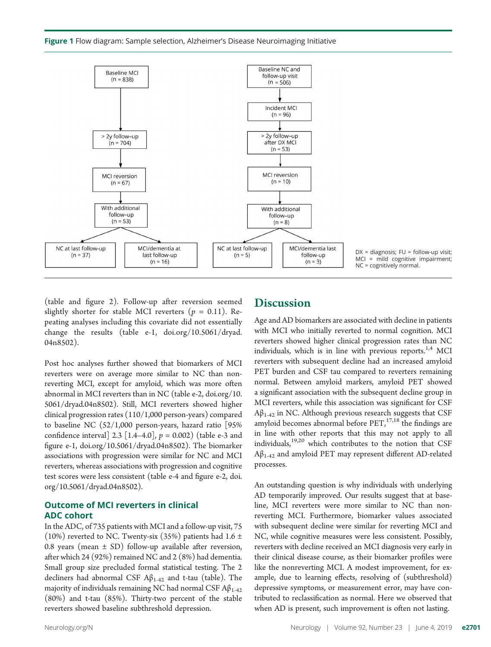Figure 1 Flow diagram: Sample selection, Alzheimer's Disease Neuroimaging Initiative



 $DX = diagnosis; FU = following$  visit; MCI = mild cognitive impairment; NC = cognitively normal.

(table and figure 2). Follow-up after reversion seemed slightly shorter for stable MCI reverters ( $p = 0.11$ ). Repeating analyses including this covariate did not essentially change the results (table e-1, [doi.org/10.5061/dryad.](https://doi.org/10.5061/dryad.04n8502) [04n8502](https://doi.org/10.5061/dryad.04n8502)).

Post hoc analyses further showed that biomarkers of MCI reverters were on average more similar to NC than nonreverting MCI, except for amyloid, which was more often abnormal in MCI reverters than in NC (table e-2, [doi.org/10.](https://doi.org/10.5061/dryad.04n8502) [5061/dryad.04n8502\)](https://doi.org/10.5061/dryad.04n8502). Still, MCI reverters showed higher clinical progression rates (110/1,000 person-years) compared to baseline NC (52/1,000 person-years, hazard ratio [95% confidence interval] 2.3 [1.4–4.0],  $p = 0.002$ ) (table e-3 and figure e-1, [doi.org/10.5061/dryad.04n8502](https://doi.org/10.5061/dryad.04n8502)). The biomarker associations with progression were similar for NC and MCI reverters, whereas associations with progression and cognitive test scores were less consistent (table e-4 and figure e-2, [doi.](https://doi.org/10.5061/dryad.04n8502) [org/10.5061/dryad.04n8502\)](https://doi.org/10.5061/dryad.04n8502).

#### Outcome of MCI reverters in clinical ADC cohort

In the ADC, of 735 patients with MCI and a follow-up visit, 75 (10%) reverted to NC. Twenty-six (35%) patients had 1.6  $\pm$ 0.8 years (mean  $\pm$  SD) follow-up available after reversion, after which 24 (92%) remained NC and 2 (8%) had dementia. Small group size precluded formal statistical testing. The 2 decliners had abnormal CSF  $A\beta_{1-42}$  and t-tau (table). The majority of individuals remaining NC had normal CSF  $A\beta_{1-42}$ (80%) and t-tau (85%). Thirty-two percent of the stable reverters showed baseline subthreshold depression.

#### **Discussion**

Age and AD biomarkers are associated with decline in patients with MCI who initially reverted to normal cognition. MCI reverters showed higher clinical progression rates than NC individuals, which is in line with previous reports.<sup>1,4</sup> MCI reverters with subsequent decline had an increased amyloid PET burden and CSF tau compared to reverters remaining normal. Between amyloid markers, amyloid PET showed a significant association with the subsequent decline group in MCI reverters, while this association was significant for CSF  $A\beta_{1-42}$  in NC. Although previous research suggests that CSF amyloid becomes abnormal before  $PET^{17,18}_{17}$  the findings are in line with other reports that this may not apply to all individuals,19,20 which contributes to the notion that CSF  $A\beta_{1-42}$  and amyloid PET may represent different AD-related processes.

An outstanding question is why individuals with underlying AD temporarily improved. Our results suggest that at baseline, MCI reverters were more similar to NC than nonreverting MCI. Furthermore, biomarker values associated with subsequent decline were similar for reverting MCI and NC, while cognitive measures were less consistent. Possibly, reverters with decline received an MCI diagnosis very early in their clinical disease course, as their biomarker profiles were like the nonreverting MCI. A modest improvement, for example, due to learning effects, resolving of (subthreshold) depressive symptoms, or measurement error, may have contributed to reclassification as normal. Here we observed that when AD is present, such improvement is often not lasting.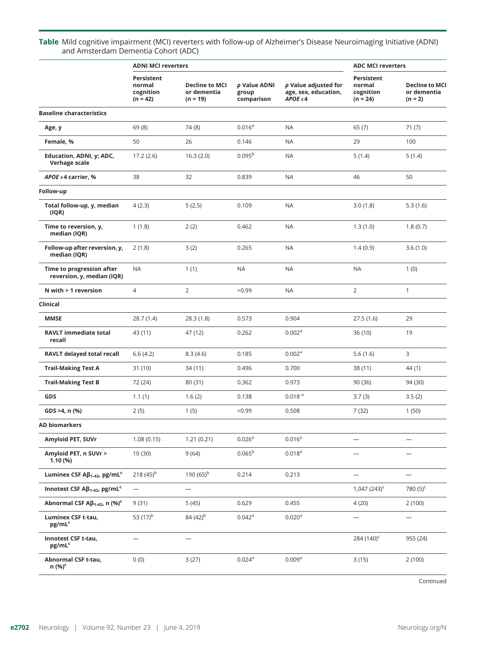Table Mild cognitive impairment (MCI) reverters with follow-up of Alzheimer's Disease Neuroimaging Initiative (ADNI) and Amsterdam Dementia Cohort (ADC)

|                                                               | <b>ADNI MCI reverters</b>                              |                                                    |                                     |                                                         | <b>ADC MCI reverters</b>                        |                                                   |
|---------------------------------------------------------------|--------------------------------------------------------|----------------------------------------------------|-------------------------------------|---------------------------------------------------------|-------------------------------------------------|---------------------------------------------------|
|                                                               | <b>Persistent</b><br>normal<br>cognition<br>$(n = 42)$ | <b>Decline to MCI</b><br>or dementia<br>$(n = 19)$ | p Value ADNI<br>group<br>comparison | p Value adjusted for<br>age, sex, education,<br>APOEE64 | Persistent<br>normal<br>cognition<br>$(n = 24)$ | <b>Decline to MCI</b><br>or dementia<br>$(n = 2)$ |
| <b>Baseline characteristics</b>                               |                                                        |                                                    |                                     |                                                         |                                                 |                                                   |
| Age, y                                                        | 69 (8)                                                 | 74 (8)                                             | 0.016 <sup>a</sup>                  | <b>NA</b>                                               | 65(7)                                           | 71(7)                                             |
| Female, %                                                     | 50                                                     | 26                                                 | 0.146                               | <b>NA</b>                                               | 29                                              | 100                                               |
| Education, ADNI, y; ADC,<br>Verhage scale                     | 17.2(2.6)                                              | 16.3(2.0)                                          | 0.095 <sup>b</sup>                  | <b>NA</b>                                               | 5(1.4)                                          | 5(1.4)                                            |
| APOE $\epsilon$ 4 carrier, %                                  | 38                                                     | 32                                                 | 0.839                               | <b>NA</b>                                               | 46                                              | 50                                                |
| Follow-up                                                     |                                                        |                                                    |                                     |                                                         |                                                 |                                                   |
| Total follow-up, y, median<br>(IQR)                           | 4(2.3)                                                 | 5(2.5)                                             | 0.109                               | <b>NA</b>                                               | 3.0(1.8)                                        | 5.3(1.6)                                          |
| Time to reversion, y,<br>median (IQR)                         | 1(1.8)                                                 | 2(2)                                               | 0.462                               | <b>NA</b>                                               | 1.3(1.0)                                        | 1.8(0.7)                                          |
| Follow-up after reversion, y,<br>median (IQR)                 | 2(1.8)                                                 | 3(2)                                               | 0.265                               | <b>NA</b>                                               | 1.4(0.9)                                        | 3.6(1.0)                                          |
| Time to progression after<br>reversion, y, median (IQR)       | <b>NA</b>                                              | 1(1)                                               | <b>NA</b>                           | <b>NA</b>                                               | <b>NA</b>                                       | 1(0)                                              |
| N with $>$ 1 reversion                                        | $\overline{4}$                                         | $\overline{2}$                                     | >0.99                               | <b>NA</b>                                               | 2                                               | $\mathbf{1}$                                      |
| Clinical                                                      |                                                        |                                                    |                                     |                                                         |                                                 |                                                   |
| <b>MMSE</b>                                                   | 28.7(1.4)                                              | 28.3(1.8)                                          | 0.573                               | 0.904                                                   | 27.5(1.6)                                       | 29                                                |
| <b>RAVLT immediate total</b><br>recall                        | 43 (11)                                                | 47 (12)                                            | 0.262                               | 0.002 <sup>a</sup>                                      | 36 (10)                                         | 19                                                |
| RAVLT delayed total recall                                    | 6.6(4.2)                                               | 8.3(4.6)                                           | 0.185                               | 0.002 <sup>a</sup>                                      | 5.6(1.6)                                        | 3                                                 |
| <b>Trail-Making Test A</b>                                    | 31 (10)                                                | 34 (11)                                            | 0.496                               | 0.700                                                   | 38 (11)                                         | 44 (1)                                            |
| <b>Trail-Making Test B</b>                                    | 72 (24)                                                | 80 (31)                                            | 0.362                               | 0.973                                                   | 90 (36)                                         | 94 (30)                                           |
| GDS                                                           | 1.1(1)                                                 | 1.6(2)                                             | 0.138                               | 0.018 <sup>a</sup>                                      | 3.7(3)                                          | 3.5(2)                                            |
| GDS >4, n (%)                                                 | 2(5)                                                   | 1(5)                                               | >0.99                               | 0.508                                                   | 7(32)                                           | 1(50)                                             |
| <b>AD biomarkers</b>                                          |                                                        |                                                    |                                     |                                                         |                                                 |                                                   |
| Amyloid PET, SUVr                                             | 1.08(0.15)                                             | 1.21(0.21)                                         | $0.026^{a}$                         | $0.016^{a}$                                             |                                                 | -                                                 |
| Amyloid PET, n SUVr ><br>1.10 (%)                             | 10 (30)                                                | 9(64)                                              | $0.065^{\rm b}$                     | $0.018^{a}$                                             |                                                 | —                                                 |
| Luminex CSF Aß <sub>1-42</sub> , pg/mL <sup>c</sup>           | 218 $(45)^{b}$                                         | 190 $(65)^{b}$                                     | 0.214                               | 0.213                                                   | $\overline{\phantom{0}}$                        | -                                                 |
| Innotest CSF $\mathsf{AB}_{1\text{-}42}$ , pg/mL <sup>c</sup> | $\overline{\phantom{0}}$                               |                                                    |                                     |                                                         | $1,047(243)^c$                                  | 780 $(5)^c$                                       |
| Abnormal CSF $AB_{1-42}$ , n (%) <sup>c</sup>                 | 9(31)                                                  | 5(45)                                              | 0.629                               | 0.455                                                   | 4(20)                                           | 2(100)                                            |
| <b>Luminex CSF t-tau,</b><br>pg/mL <sup>c</sup>               | 53 (17) <sup>b</sup>                                   | 84 (42) <sup>b</sup>                               | 0.042a                              | 0.020 <sup>a</sup>                                      |                                                 | -                                                 |
| Innotest CSF t-tau,<br>pg/mL <sup>c</sup>                     |                                                        | $\overline{\phantom{0}}$                           |                                     |                                                         | 284 (140) <sup>c</sup>                          | 955 (24)                                          |
| Abnormal CSF t-tau,<br>n (%) <sup>c</sup>                     | 0(0)                                                   | 3(27)                                              | 0.024a                              | 0.009 <sup>a</sup>                                      | 3(15)                                           | 2(100)                                            |

Continued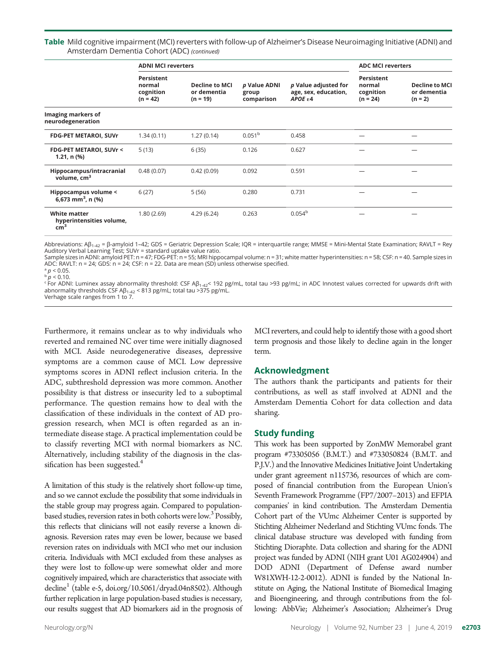Table Mild cognitive impairment (MCI) reverters with follow-up of Alzheimer's Disease Neuroimaging Initiative (ADNI) and Amsterdam Dementia Cohort (ADC) (continued)

|                                                               | <b>ADNI MCI reverters</b>                       |                                                    |                                     |                                                           | <b>ADC MCI reverters</b>                        |                                                   |
|---------------------------------------------------------------|-------------------------------------------------|----------------------------------------------------|-------------------------------------|-----------------------------------------------------------|-------------------------------------------------|---------------------------------------------------|
|                                                               | Persistent<br>normal<br>cognition<br>$(n = 42)$ | <b>Decline to MCI</b><br>or dementia<br>$(n = 19)$ | p Value ADNI<br>group<br>comparison | p Value adjusted for<br>age, sex, education,<br>$APOE$ ε4 | Persistent<br>normal<br>cognition<br>$(n = 24)$ | <b>Decline to MCI</b><br>or dementia<br>$(n = 2)$ |
| Imaging markers of<br>neurodegeneration                       |                                                 |                                                    |                                     |                                                           |                                                 |                                                   |
| <b>FDG-PET METAROI, SUVr</b>                                  | 1.34(0.11)                                      | 1.27(0.14)                                         | 0.051 <sup>b</sup>                  | 0.458                                                     |                                                 |                                                   |
| FDG-PET METAROI, SUVr <<br>$1.21, n$ (%)                      | 5(13)                                           | 6(35)                                              | 0.126                               | 0.627                                                     |                                                 |                                                   |
| Hippocampus/intracranial<br>volume, cm <sup>3</sup>           | 0.48(0.07)                                      | 0.42(0.09)                                         | 0.092                               | 0.591                                                     |                                                 |                                                   |
| Hippocampus volume <<br>6,673 mm <sup>3</sup> , n $(\%)$      | 6(27)                                           | 5(56)                                              | 0.280                               | 0.731                                                     |                                                 |                                                   |
| <b>White matter</b><br>hyperintensities volume,<br>$\rm cm^3$ | 1.80(2.69)                                      | 4.29(6.24)                                         | 0.263                               | 0.054 <sup>b</sup>                                        |                                                 |                                                   |

Abbreviations: Aβ<sub>1-42</sub> = β-amyloid 1-42; GDS = Geriatric Depression Scale; IQR = interquartile range; MMSE = Mini-Mental State Examination; RAVLT = Rey Auditory Verbal Learning Test; SUVr = standard uptake value ratio.

Sample sizes in ADNI: amyloid PET: n = 47; FDG-PET: n = 55; MRI hippocampal volume: n = 31; white matter hyperintensities: n = 58; CSF: n = 40. Sample sizes in ADC: RAVLT: n = 24; GDS: n = 24; CSF: n = 22. Data are mean (SD) unless otherwise specified.

 $p < 0.05$ .  $\bar{p}$  /  $> 0.10$ .

 $\epsilon$  For ADNI: Luminex assay abnormality threshold: CSF Aβ<sub>1-42</sub>< 192 pg/mL, total tau >93 pg/mL; in ADC Innotest values corrected for upwards drift with abnormality thresholds CSF  $AB_{1-42}$  < 813 pg/mL; total tau >375 pg/mL. Verhage scale ranges from 1 to 7.

Furthermore, it remains unclear as to why individuals who reverted and remained NC over time were initially diagnosed with MCI. Aside neurodegenerative diseases, depressive symptoms are a common cause of MCI. Low depressive symptoms scores in ADNI reflect inclusion criteria. In the ADC, subthreshold depression was more common. Another possibility is that distress or insecurity led to a suboptimal performance. The question remains how to deal with the classification of these individuals in the context of AD progression research, when MCI is often regarded as an intermediate disease stage. A practical implementation could be to classify reverting MCI with normal biomarkers as NC. Alternatively, including stability of the diagnosis in the classification has been suggested.<sup>4</sup>

A limitation of this study is the relatively short follow-up time, and so we cannot exclude the possibility that some individuals in the stable group may progress again. Compared to populationbased studies, reversion rates in both cohorts were low.<sup>3</sup> Possibly, this reflects that clinicians will not easily reverse a known diagnosis. Reversion rates may even be lower, because we based reversion rates on individuals with MCI who met our inclusion criteria. Individuals with MCI excluded from these analyses as they were lost to follow-up were somewhat older and more cognitively impaired, which are characteristics that associate with decline<sup>1</sup> (table e-5, [doi.org/10.5061/dryad.04n8502](https://doi.org/10.5061/dryad.04n8502)). Although further replication in large population-based studies is necessary, our results suggest that AD biomarkers aid in the prognosis of MCI reverters, and could help to identify those with a good short term prognosis and those likely to decline again in the longer term.

#### Acknowledgment

The authors thank the participants and patients for their contributions, as well as staff involved at ADNI and the Amsterdam Dementia Cohort for data collection and data sharing.

#### Study funding

This work has been supported by ZonMW Memorabel grant program #73305056 (B.M.T.) and #733050824 (B.M.T. and P.J.V.) and the Innovative Medicines Initiative Joint Undertaking under grant agreement n115736, resources of which are composed of financial contribution from the European Union's Seventh Framework Programme (FP7/2007–2013) and EFPIA companies' in kind contribution. The Amsterdam Dementia Cohort part of the VUmc Alzheimer Center is supported by Stichting Alzheimer Nederland and Stichting VUmc fonds. The clinical database structure was developed with funding from Stichting Dioraphte. Data collection and sharing for the ADNI project was funded by ADNI (NIH grant U01 AG024904) and DOD ADNI (Department of Defense award number W81XWH-12-2-0012). ADNI is funded by the National Institute on Aging, the National Institute of Biomedical Imaging and Bioengineering, and through contributions from the following: AbbVie; Alzheimer's Association; Alzheimer's Drug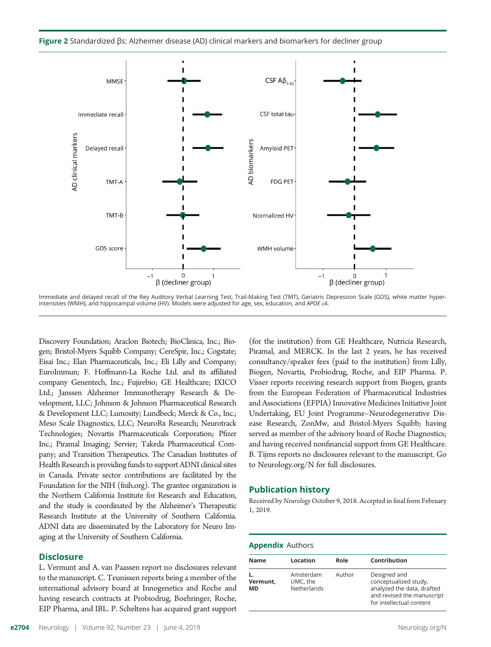Figure 2 Standardized βs: Alzheimer disease (AD) clinical markers and biomarkers for decliner group



Immediate and delayed recall of the Rey Auditory Verbal Learning Test, Trail-Making Test (TMT), Geriatric Depression Scale (GDS), white matter hyperintensities (WMH), and hippocampal volume (HV). Models were adjusted for age, sex, education, and APOE  $\epsilon$ 4.

Discovery Foundation; Araclon Biotech; BioClinica, Inc.; Biogen; Bristol-Myers Squibb Company; CereSpir, Inc.; Cogstate; Eisai Inc.; Elan Pharmaceuticals, Inc.; Eli Lilly and Company; EuroImmun; F. Hoffmann-La Roche Ltd. and its affiliated company Genentech, Inc.; Fujirebio; GE Healthcare; IXICO Ltd.; Janssen Alzheimer Immunotherapy Research & Development, LLC; Johnson & Johnson Pharmaceutical Research & Development LLC; Lumosity; Lundbeck; Merck & Co., Inc.; Meso Scale Diagnostics, LLC; NeuroRx Research; Neurotrack Technologies; Novartis Pharmaceuticals Corporation; Pfizer Inc.; Piramal Imaging; Servier; Takeda Pharmaceutical Company; and Transition Therapeutics. The Canadian Institutes of Health Research is providing funds to support ADNI clinical sites in Canada. Private sector contributions are facilitated by the Foundation for the NIH [\(fnih.org\)](http://www.fnih.org). The grantee organization is the Northern California Institute for Research and Education, and the study is coordinated by the Alzheimer's Therapeutic Research Institute at the University of Southern California. ADNI data are disseminated by the Laboratory for Neuro Imaging at the University of Southern California.

#### **Disclosure**

L. Vermunt and A. van Paassen report no disclosures relevant to the manuscript. C. Teunissen reports being a member of the international advisory board at Innogenetics and Roche and having research contracts at Probiodrug, Boehringer, Roche, EIP Pharma, and IBL. P. Scheltens has acquired grant support (for the institution) from GE Healthcare, Nutricia Research, Piramal, and MERCK. In the last 2 years, he has received consultancy/speaker fees (paid to the institution) from Lilly, Biogen, Novartis, Probiodrug, Roche, and EIP Pharma. P. Visser reports receiving research support from Biogen, grants from the European Federation of Pharmaceutical Industries and Associations (EFPIA) Innovative Medicines Initiative Joint Undertaking, EU Joint Programme–Neurodegenerative Disease Research, ZonMw, and Bristol-Myers Squibb; having served as member of the advisory board of Roche Diagnostics; and having received nonfinancial support from GE Healthcare. B. Tijms reports no disclosures relevant to the manuscript. Go to [Neurology.org/N](http://n.neurology.org/lookup/doi/10.1212/WNL.0000000000007609) for full disclosures.

#### Publication history

Received by Neurology October 9, 2018. Accepted in final form February 1, 2019.

#### Appendix Authors

| <b>Name</b>    | Location                             | Role   | Contribution                                                                                                                  |
|----------------|--------------------------------------|--------|-------------------------------------------------------------------------------------------------------------------------------|
| Vermunt,<br>МD | Amsterdam<br>UMC, the<br>Netherlands | Author | Designed and<br>conceptualized study,<br>analyzed the data, drafted<br>and revised the manuscript<br>for intellectual content |